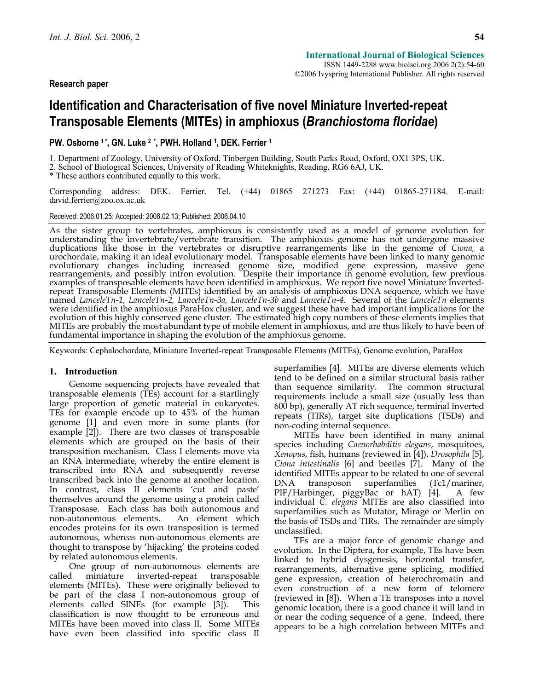ISSN 1449-2288 www.biolsci.org 2006 2(2):54-60 ©2006 Ivyspring International Publisher. All rights reserved

# **Identification and Characterisation of five novel Miniature Inverted-repeat Transposable Elements (MITEs) in amphioxus (***Branchiostoma floridae***)**

# **PW. Osborne 1 \*, GN. Luke 2 \*, PWH. Holland 1, DEK. Ferrier 1**

1. Department of Zoology, University of Oxford, Tinbergen Building, South Parks Road, Oxford, OX1 3PS, UK.

2. School of Biological Sciences, University of Reading Whiteknights, Reading, RG6 6AJ, UK.

\* These authors contributed equally to this work.

Corresponding address: DEK. Ferrier. Tel. (+44) 01865 271273 Fax: (+44) 01865-271184. E-mail: david.ferrier@zoo.ox.ac.uk

Received: 2006.01.25; Accepted: 2006.02.13; Published: 2006.04.10

As the sister group to vertebrates, amphioxus is consistently used as a model of genome evolution for understanding the invertebrate/vertebrate transition. The amphioxus genome has not undergone massive duplications like t urochordate, making it an ideal evolutionary model. Transposable elements have been linked to many genomic<br>evolutionary changes including increased genome size, modified gene expression, massive gene<br>rearrangements, and po examples of transposable elements have been identified in amphioxus. We report five novel Miniature Invertedrepeat Transposable Elements (MITEs) identified by an analysis of amphioxus DNA sequence, which we have named *LanceleTn-1, LanceleTn-2, LanceleTn-3a, LanceleTn-3b* and *LanceleTn-4*. Several of the *LanceleTn* elements were identified in the amphioxus ParaHox cluster, and we suggest these have had important implications for the evolution of this highly conserved gene cluster. The estimated high copy numbers of these elements implies that<br>MITEs are probably the most abundant type of mobile element in amphioxus, and are thus likely to have been of MITEs are probably the most abundant type of mobile element in amphioxus, and are thus likely to have been of<br>fundamental importance in shaping the evolution of the amphioxus genome.

Keywords: Cephalochordate, Miniature Inverted-repeat Transposable Elements (MITEs), Genome evolution, ParaHox

## **1. Introduction**

Genome sequencing projects have revealed that transposable elements (TEs) account for a startlingly large proportion of genetic material in eukaryotes. TEs for example encode up to 45% of the human genome [1] and even more in some plants (for example [2]). There are two classes of transposable elements which are grouped on the basis of their transposition mechanism. Class I elements move via an RNA intermediate, whereby the entire element is transcribed into RNA and subsequently reverse transcribed back into the genome at another location. In contrast, class II elements 'cut and paste' themselves around the genome using a protein called Transposase. Each class has both autonomous and non-autonomous elements. An element which encodes proteins for its own transposition is termed autonomous, whereas non-autonomous elements are thought to transpose by 'hijacking' the proteins coded by related autonomous elements.

One group of non-autonomous elements are called miniature inverted-repeat transposable elements (MITEs). These were originally believed to be part of the class I non-autonomous group of elements called SINEs (for example [3]). This classification is now thought to be erroneous and MITEs have been moved into class II. Some MITEs have even been classified into specific class II

superfamilies [4]. MITEs are diverse elements which tend to be defined on a similar structural basis rather than sequence similarity. The common structural requirements include a small size (usually less than 600 bp), generally AT rich sequence, terminal inverted repeats (TIRs), target site duplications (TSDs) and non-coding internal sequence.

MITEs have been identified in many animal species including *Caenorhabditis elegans*, mosquitoes, *Xenopus*, fish, humans (reviewed in [4]), *Drosophila* [5], *Ciona intestinalis* [6] and beetles [7]. Many of the identified MITEs appear to be related to one of several DNA transposon superfamilies (Tc1/mariner, PIF/Harbinger, piggyBac or hAT) [4]. A few individual *C. elegans* MITEs are also classified into superfamilies such as Mutator, Mirage or Merlin on the basis of TSDs and TIRs. The remainder are simply unclassified.

TEs are a major force of genomic change and evolution. In the Diptera, for example, TEs have been linked to hybrid dysgenesis, horizontal transfer, rearrangements, alternative gene splicing, modified gene expression, creation of heterochromatin and even construction of a new form of telomere (reviewed in [8]). When a TE transposes into a novel genomic location, there is a good chance it will land in or near the coding sequence of a gene. Indeed, there appears to be a high correlation between MITEs and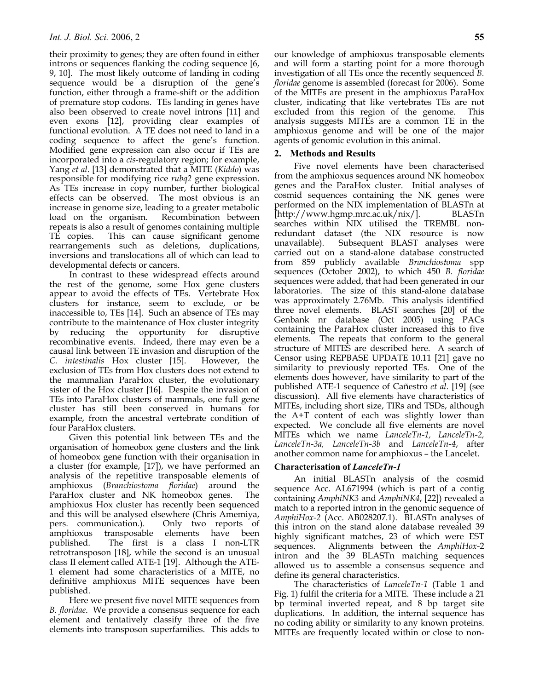their proximity to genes; they are often found in either introns or sequences flanking the coding sequence [6, 9, 10]. The most likely outcome of landing in coding sequence would be a disruption of the gene's function, either through a frame-shift or the addition of premature stop codons. TEs landing in genes have also been observed to create novel introns [11] and even exons [12], providing clear examples of functional evolution. A TE does not need to land in a coding sequence to affect the gene's function. Modified gene expression can also occur if TEs are incorporated into a *cis*-regulatory region; for example, Yang *et al*. [13] demonstrated that a MITE (*Kiddo*) was responsible for modifying rice *rubq2* gene expression. As TEs increase in copy number, further biological effects can be observed. The most obvious is an increase in genome size, leading to a greater metabolic load on the organism. Recombination between repeats is also a result of genomes containing multiple TE copies. This can cause significant genome rearrangements such as deletions, duplications, inversions and translocations all of which can lead to developmental defects or cancers.

In contrast to these widespread effects around the rest of the genome, some Hox gene clusters appear to avoid the effects of TEs. Vertebrate Hox clusters for instance, seem to exclude, or be inaccessible to, TEs [14]. Such an absence of TEs may contribute to the maintenance of Hox cluster integrity by reducing the opportunity for disruptive recombinative events. Indeed, there may even be a causal link between TE invasion and disruption of the *C. intestinalis* Hox cluster [15]. However, the exclusion of TEs from Hox clusters does not extend to the mammalian ParaHox cluster, the evolutionary sister of the Hox cluster [16]. Despite the invasion of TEs into ParaHox clusters of mammals, one full gene cluster has still been conserved in humans for example, from the ancestral vertebrate condition of four ParaHox clusters.

Given this potential link between TEs and the organisation of homeobox gene clusters and the link of homeobox gene function with their organisation in a cluster (for example, [17]), we have performed an analysis of the repetitive transposable elements of amphioxus (*Branchiostoma floridae*) around the ParaHox cluster and NK homeobox genes. The amphioxus Hox cluster has recently been sequenced and this will be analysed elsewhere (Chris Amemiya, pers. communication.). Only two reports of amphioxus transposable elements have been published. The first is a class I non-LTR retrotransposon [18], while the second is an unusual class II element called ATE-1 [19]. Although the ATE-1 element had some characteristics of a MITE, no definitive amphioxus MITE sequences have been published.

Here we present five novel MITE sequences from *B. floridae*. We provide a consensus sequence for each element and tentatively classify three of the five elements into transposon superfamilies. This adds to

our knowledge of amphioxus transposable elements and will form a starting point for a more thorough investigation of all TEs once the recently sequenced *B. floridae* genome is assembled (forecast for 2006). Some of the MITEs are present in the amphioxus ParaHox cluster, indicating that like vertebrates TEs are not excluded from this region of the genome. This analysis suggests MITEs are a common TE in the amphioxus genome and will be one of the major agents of genomic evolution in this animal.

# **2. Methods and Results**

Five novel elements have been characterised from the amphioxus sequences around NK homeobox genes and the ParaHox cluster. Initial analyses of cosmid sequences containing the NK genes were performed on the NIX implementation of BLASTn at [http://www.hgmp.mrc.ac.uk/nix/]. BLASTn searches within NIX utilised the TREMBL nonredundant dataset (the NIX resource is now unavailable). Subsequent BLAST analyses were carried out on a stand-alone database constructed from 859 publicly available *Branchiostoma* spp sequences (October 2002), to which 450 *B. floridae* sequences were added, that had been generated in our laboratories. The size of this stand-alone database was approximately 2.76Mb. This analysis identified three novel elements. BLAST searches [20] of the Genbank nr database (Oct 2005) using PACs containing the ParaHox cluster increased this to five elements. The repeats that conform to the general structure of MITES are described here. A search of Censor using REPBASE UPDATE 10.11 [21] gave no similarity to previously reported TEs. One of the elements does however, have similarity to part of the published ATE-1 sequence of Cañestro *et al*. [19] (see discussion). All five elements have characteristics of MITEs, including short size, TIRs and TSDs, although the A+T content of each was slightly lower than expected. We conclude all five elements are novel MITEs which we name *LanceleTn-1, LanceleTn-2, LanceleTn-3a, LanceleTn-3b* and *LanceleTn-4*, after another common name for amphioxus – the Lancelet.

# **Characterisation of** *LanceleTn-1*

An initial BLASTn analysis of the cosmid sequence Acc. AL671994 (which is part of a contig containing *AmphiNK3* and *AmphiNK4*, [22]) revealed a match to a reported intron in the genomic sequence of *AmphiHox-2* (Acc. AB028207.1). BLASTn analyses of this intron on the stand alone database revealed 39 highly significant matches, 23 of which were EST sequences. Alignments between the *AmphiHox-*2 intron and the 39 BLASTn matching sequences allowed us to assemble a consensus sequence and define its general characteristics.

The characteristics of *LanceleTn-1* (Table 1 and Fig. 1) fulfil the criteria for a MITE. These include a 21 bp terminal inverted repeat, and 8 bp target site duplications. In addition, the internal sequence has no coding ability or similarity to any known proteins. MITEs are frequently located within or close to non-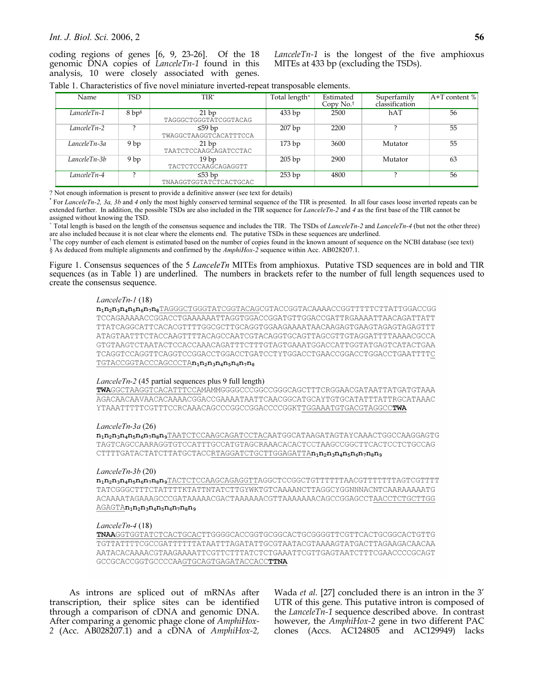## *Int. J. Biol. Sci.* 2006, 2 **56**

coding regions of genes [6, 9, 23-26]. Of the 18 genomic DNA copies of *LanceleTn-1* found in this analysis, 10 were closely associated with genes.

*LanceleTn-1* is the longest of the five amphioxus MITEs at 433 bp (excluding the TSDs).

| Table 1. Characteristics of five novel miniature inverted-repeat transposable elements. |  |  |  |
|-----------------------------------------------------------------------------------------|--|--|--|
|                                                                                         |  |  |  |

| Name            | TSD               | TIR*                                    | Total length <sup>+</sup> | Estimated<br>Copy $No.†$ | Superfamily<br>classification | $A+T$ content % |
|-----------------|-------------------|-----------------------------------------|---------------------------|--------------------------|-------------------------------|-----------------|
| LanceleTn-1     | 8 bp <sup>s</sup> | 21bp<br>TAGGGCTGGGTATCGGTACAG           | 433 bp                    | 2500                     | hAT                           | 56              |
| LanceleTn-2     |                   | ≤59 bp<br>TWAGGCTAAGGTCACATTTCCA        | 207bp                     | 2200                     |                               | 55              |
| LanceleTn-3a    | 9bp               | 21bp<br><b>TAATCTCCAAGCAGATCCTAC</b>    | 173bp                     | 3600                     | Mutator                       | 55              |
| $LancelerIn-3b$ | 9bp               | 19 <sub>bp</sub><br>TACTCTCCAAGCAGAGGTT | 205bp                     | 2900                     | Mutator                       | 63              |
| LanceleTn-4     |                   | ≤53 bp<br>TNAAGGTGGTATCTCACTGCAC        | 253 bp                    | 4800                     |                               | 56              |

? Not enough information is present to provide a definitive answer (see text for details) \*

 For *LanceleTn-2, 3a, 3b* and *4* only the most highly conserved terminal sequence of the TIR is presented. In all four cases loose inverted repeats can be extended further. In addition, the possible TSDs are also included in the TIR sequence for *LanceleTn-2* and *4* as the first base of the TIR cannot be assigned without knowing the TSD.

+ Total length is based on the length of the consensus sequence and includes the TIR. The TSDs of *LanceleTn-2* and *LanceleTn-4* (but not the other three) are also included because it is not clear where the elements end. The putative TSDs in these sequences are underlined.<br><sup>†</sup> The copy number of each element is estimated based on the number of copies found in the known amoun

§ As deduced from multiple alignments and confirmed by the *AmphiHox-2* sequence within Acc. AB028207.1.

Figure 1. Consensus sequences of the 5 *LanceleTn* MITEs from amphioxus. Putative TSD sequences are in bold and TIR sequences (as in Table 1) are underlined. The numbers in brackets refer to the number of full length sequences used to create the consensus sequence.

#### $Lancelefn-1$  (18)

 $\mathbf{n}_1\mathbf{n}_2\mathbf{n}_3\mathbf{n}_4\mathbf{n}_5\mathbf{n}_6\mathbf{n}_7\mathbf{n}_8$ TAGGGCTGGGTATCGGTACAGCGTACCGGGTACCAAAACCGGTTTTTCTTATTGGACCGG TCCAGAAAAACCGGACCTGAAAAAATTAGGTGGACCGGATGTTGGACCGATTRGAAAATTAACAGATTATT TTATCAGGCATTCACACGTTTTGGCGCTTGCAGGTGGAAGAAATAACAAGAGTGAAGTAGAGTAGAGTTT ATAGTAATTTCTACCAAGTTTTACAGCCAATCGTACAGGTGCAGTTAGCGTTGTAGGATTTTAAAACGCCA GTGTAAGTCTAATACTCCACCAAACAGATTTCTTTGTAGTGAAATGGACCATTGGTATGAGTCATACTGAA TCAGGTCCAGGTTCAGGTCCGGACCTGGACCTGATCCTYTGGACCTGAACCGGACCTGGACCTGAATTTTC  ${\tt TGTACCGGTACCCAGCCCTA} {\bf n_1 n_2 n_3 n_4 n_5 n_6 n_7 n_8}$ 

#### *LanceleTn-2* (45 partial sequences plus 9 full length)

TWAGGCTAAGGTCACATTTCCAMAMMGGGGCCCGGCCGGCCAGCTTTCRGGAACGATAATTATGATGTAAA AGACAACAAVAACACAAAACGGACCGAAAATAATTCAACGGCATGCAYTGTGCATATTTATTRGCATAAAC YTAAATTTTTCGTTTCCRCAAACAGCCCGGCCCGGACCCCGGKTTGGAAATGTGACGTAGGCCTWA

#### LanceleTn-3a (26)

n<sub>1</sub>n<sub>2</sub>n<sub>3</sub>n<sub>4</sub>n<sub>5</sub>n<sub>6</sub>n<sub>7</sub>n<sub>8</sub>n9</sub>TAATCTCCAAGCAGATCCTACAATGGCATAAGATAGTAYCAAACTGGCCAAGGAGTG TAGTCAGCCAARAGGTGTCCATTTGCCATGTAGCRAAACACACTCCTAAGCCGGCTTCACTCCTCTGCCAG CTTTTGATACTATCTTATGCTACCRTAGGATCTGCTTGGAGATTAn1n2n3n4n5n6n7n8n9

#### $Lancelen-3b(20)$

n<sub>1</sub>n<sub>2</sub>n<sub>3</sub>n<sub>4</sub>n<sub>5</sub>n<sub>6</sub>n<sub>7</sub>n<sub>8</sub>n<sub>9</sub>TACTCTCCAAGCAGAGGTTAGGCTCCGGCTGTTTTTTAACGTTTTTTAGTCGTTTT TATCGGGCTTTCTATTTTKTATTNTATCTTGYWKTGTCAAAANCTTAGGCYGGNNNACNTCAARAAAAATG ACAAAATAGAAAGCCCGATAAAAACGACTAAAAAACGTTAAAAAAACAGCCGGAGCCTAACCTCTGCTTGG  $\underline{\mathtt{AGAGT} \mathtt{A}} \mathtt{n}_1 \mathtt{n}_2 \mathtt{n}_3 \mathtt{n}_4 \mathtt{n}_5 \mathtt{n}_6 \mathtt{n}_7 \mathtt{n}_8 \mathtt{n}_9$ 

#### $Lancelefn-4(18)$

TGTTATTTTCGCCGATTTTTTATAATTTAGATATTGCGTAATACGTAAAAGTATGACTTAGAAGACAACAA AATACACAAAACGTAAGAAAATTCGTTCTTTATCTCTGAAATTCGTTGAGTAATCTTTCGAACCCCGCAGT  ${\tt GCCGCACCGGTGCCCAAGTGCAGTGAGATACCACCTTNA}$ 

As introns are spliced out of mRNAs after transcription, their splice sites can be identified through a comparison of cDNA and genomic DNA. After comparing a genomic phage clone of *AmphiHox-2* (Acc. AB028207.1) and a cDNA of *AmphiHox-2,*

Wada *et al.* [27] concluded there is an intron in the 3' UTR of this gene. This putative intron is composed of the *LanceleTn-1* sequence described above. In contrast however, the *AmphiHox-2* gene in two different PAC clones (Accs. AC124805 and AC129949) lacks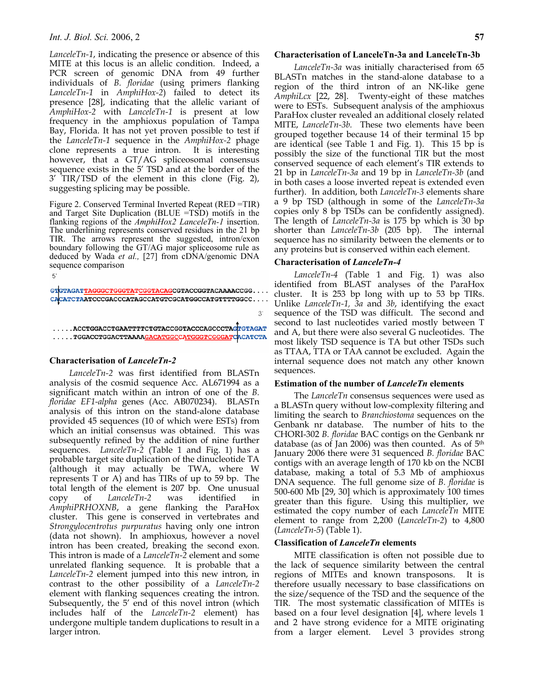## *Int. J. Biol. Sci.* 2006, 2 **57**

*LanceleTn-1*, indicating the presence or absence of this MITE at this locus is an allelic condition. Indeed, a PCR screen of genomic DNA from 49 further individuals of *B. floridae* (using primers flanking *LanceleTn-1* in *AmphiHox-2*) failed to detect its presence [28], indicating that the allelic variant of *AmphiHox-2* with *LanceleTn-1* is present at low frequency in the amphioxus population of Tampa Bay, Florida. It has not yet proven possible to test if the *LanceleTn-1* sequence in the *AmphiHox-2* phage clone represents a true intron. It is interesting however, that a GT/AG spliceosomal consensus sequence exists in the 5' TSD and at the border of the 3' TIR/TSD of the element in this clone (Fig. 2), suggesting splicing may be possible.

Figure 2. Conserved Terminal Inverted Repeat (RED =TIR) and Target Site Duplication (BLUE =TSD) motifs in the flanking regions of the *AmphiHox2 LanceleTn-1* insertion. The underlining represents conserved residues in the 21 bp TIR. The arrows represent the suggested, intron/exon boundary following the GT/AG major spliceosome rule as deduced by Wada *et al.,* [27] from cDNA/genomic DNA sequence comparison

GTGTAGATTAGGGCTGGGTATCGGTACAGCGTACCGGTACAAAACCGG.... CACATCTAATCCCGACCCATAGCCATGTCGCATGGCCATGTTTTGGCC....

.....ACCTGGACCTGAATTTTCTGTACCGGTACCCAGCCCTAGTGTAGAT .....TGGACCTGGACTTAAAAGACATGGCCATGGGTCGGGATCACATCTA

#### **Characterisation of** *LanceleTn-2*

*LanceleTn-2* was first identified from BLASTn analysis of the cosmid sequence Acc. AL671994 as a significant match within an intron of one of the *B. floridae EF1-alpha* genes (Acc. AB070234). BLASTn analysis of this intron on the stand-alone database provided 45 sequences (10 of which were ESTs) from which an initial consensus was obtained. This was subsequently refined by the addition of nine further sequences. *LanceleTn-2* (Table 1 and Fig. 1) has a probable target site duplication of the dinucleotide TA (although it may actually be TWA, where W represents T or A) and has TIRs of up to 59 bp. The total length of the element is 207 bp. One unusual copy of *LanceleTn-2* was identified in *AmphiPRHOXNB*, a gene flanking the ParaHox cluster. This gene is conserved in vertebrates and *Strongylocentrotus purpuratus* having only one intron (data not shown). In amphioxus, however a novel intron has been created, breaking the second exon. This intron is made of a *LanceleTn-2* element and some unrelated flanking sequence. It is probable that a *LanceleTn-2* element jumped into this new intron, in contrast to the other possibility of a *LanceleTn-2* element with flanking sequences creating the intron. Subsequently, the 5' end of this novel intron (which includes half of the *LanceleTn-2* element) has undergone multiple tandem duplications to result in a larger intron.

# **Characterisation of LanceleTn-3a and LanceleTn-3b**

*LanceleTn-3a* was initially characterised from 65 BLASTn matches in the stand-alone database to a region of the third intron of an NK-like gene *AmphiLcx* [22, 28]. Twenty-eight of these matches were to ESTs. Subsequent analysis of the amphioxus ParaHox cluster revealed an additional closely related MITE, *LanceleTn-3b.* These two elements have been grouped together because 14 of their terminal 15 bp are identical (see Table 1 and Fig. 1). This 15 bp is possibly the size of the functional TIR but the most conserved sequence of each element's TIR extends to 21 bp in *LanceleTn-3a* and 19 bp in *LanceleTn-3b* (and in both cases a loose inverted repeat is extended even further). In addition, both *LanceleTn-3* elements share a 9 bp TSD (although in some of the *LanceleTn-3a* copies only 8 bp TSDs can be confidently assigned). The length of *LanceleTn-3a* is 175 bp which is 30 bp shorter than *LanceleTn-3b* (205 bp). The internal sequence has no similarity between the elements or to any proteins but is conserved within each element.

## **Characterisation of** *LanceleTn-4*

 $3'$ 

*LanceleTn-4* (Table 1 and Fig. 1) was also identified from BLAST analyses of the ParaHox cluster. It is 253 bp long with up to 53 bp TIRs. Unlike *LanceleTn-1, 3a* and *3b*, identifying the exact sequence of the TSD was difficult. The second and second to last nucleotides varied mostly between T and A, but there were also several G nucleotides. The most likely TSD sequence is TA but other TSDs such as TTAA, TTA or TAA cannot be excluded. Again the internal sequence does not match any other known sequences.

### **Estimation of the number of** *LanceleTn* **elements**

The *LanceleTn* consensus sequences were used as a BLASTn query without low-complexity filtering and limiting the search to *Branchiostoma* sequences on the Genbank nr database. The number of hits to the CHORI-302 *B. floridae* BAC contigs on the Genbank nr database (as of Jan 2006) was then counted. As of 5th January 2006 there were 31 sequenced *B. floridae* BAC contigs with an average length of 170 kb on the NCBI database, making a total of 5.3 Mb of amphioxus DNA sequence. The full genome size of *B. floridae* is 500-600 Mb [29, 30] which is approximately 100 times greater than this figure. Using this multiplier, we estimated the copy number of each *LanceleTn* MITE element to range from 2,200 (*LanceleTn-2*) to 4,800 (*LanceleTn-5*) (Table 1).

#### **Classification of** *LanceleTn* **elements**

MITE classification is often not possible due to the lack of sequence similarity between the central regions of MITEs and known transposons. It is therefore usually necessary to base classifications on the size/sequence of the TSD and the sequence of the TIR. The most systematic classification of MITEs is based on a four level designation [4], where levels 1 and 2 have strong evidence for a MITE originating from a larger element. Level 3 provides strong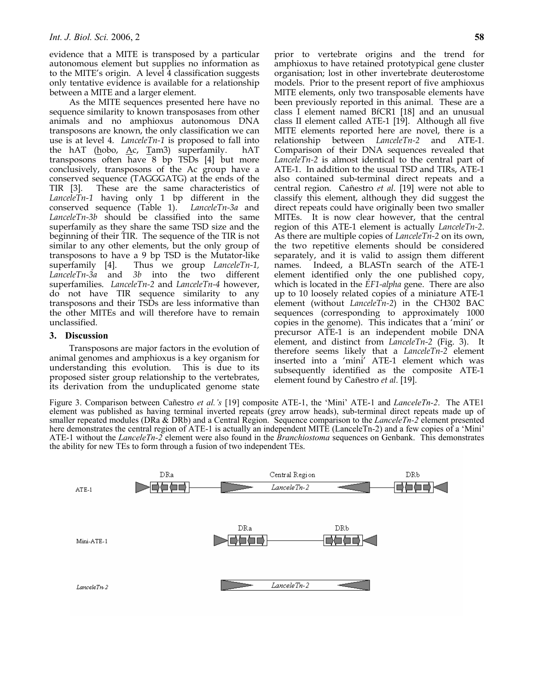evidence that a MITE is transposed by a particular autonomous element but supplies no information as to the MITE's origin. A level 4 classification suggests only tentative evidence is available for a relationship between a MITE and a larger element.

As the MITE sequences presented here have no sequence similarity to known transposases from other animals and no amphioxus autonomous DNA transposons are known, the only classification we can use is at level 4. *LanceleTn-1* is proposed to fall into the hAT (hobo,  $\underline{A}c$ ,  $\underline{T}am3$ ) superfamily. hAT transposons often have 8 bp TSDs [4] but more conclusively, transposons of the Ac group have a conserved sequence (TAGGGATG) at the ends of the TIR [3]. These are the same characteristics of *LanceleTn-1* having only 1 bp different in the conserved sequence (Table 1). *LanceleTn-3a* and *LanceleTn-3b* should be classified into the same superfamily as they share the same TSD size and the beginning of their TIR. The sequence of the TIR is not similar to any other elements, but the only group of transposons to have a 9 bp TSD is the Mutator-like superfamily [4]. Thus we group *LanceleTn-1, LanceleTn-3a* and *3b* into the two different superfamilies. *LanceleTn-2* and *LanceleTn-4* however, do not have TIR sequence similarity to any transposons and their TSDs are less informative than the other MITEs and will therefore have to remain unclassified.

# **3. Discussion**

Transposons are major factors in the evolution of animal genomes and amphioxus is a key organism for understanding this evolution. This is due to its proposed sister group relationship to the vertebrates, its derivation from the unduplicated genome state prior to vertebrate origins and the trend for amphioxus to have retained prototypical gene cluster organisation; lost in other invertebrate deuterostome models. Prior to the present report of five amphioxus MITE elements, only two transposable elements have been previously reported in this animal. These are a class I element named BfCR1 [18] and an unusual class II element called ATE-1 [19]. Although all five MITE elements reported here are novel, there is a relationship between *LanceleTn-2* and ATE-1. Comparison of their DNA sequences revealed that *LanceleTn-2* is almost identical to the central part of ATE-1. In addition to the usual TSD and TIRs, ATE-1 also contained sub-terminal direct repeats and a central region. Cañestro *et al*. [19] were not able to classify this element, although they did suggest the direct repeats could have originally been two smaller MITEs. It is now clear however, that the central region of this ATE-1 element is actually *LanceleTn-2*. As there are multiple copies of *LanceleTn-2* on its own, the two repetitive elements should be considered separately, and it is valid to assign them different names. Indeed, a BLASTn search of the ATE-1 element identified only the one published copy, which is located in the *EF1-alpha* gene. There are also up to 10 loosely related copies of a miniature ATE-1 element (without *LanceleTn-2*) in the CH302 BAC sequences (corresponding to approximately 1000 copies in the genome). This indicates that a 'mini' or precursor ATE-1 is an independent mobile DNA element, and distinct from *LanceleTn-2* (Fig. 3). It therefore seems likely that a *LanceleTn-2* element inserted into a 'mini' ATE-1 element which was subsequently identified as the composite ATE-1 element found by Cañestro *et al.* [19].

Figure 3. Comparison between Cañestro *et al.'s* [19] composite ATE-1, the 'Mini' ATE-1 and *LanceleTn-2*. The ATE1 element was published as having terminal inverted repeats (grey arrow heads), sub-terminal direct repeats made up of smaller repeated modules (DRa & DRb) and a Central Region. Sequence comparison to the *LanceleTn-2* element presented here demonstrates the central region of ATE-1 is actually an independent MITE (LanceleTn-2) and a few copies of a 'Mini' ATE-1 without the *LanceleTn-2* element were also found in the *Branchiostoma* sequences on Genbank. This demonstrates the ability for new TEs to form through a fusion of two independent TEs.

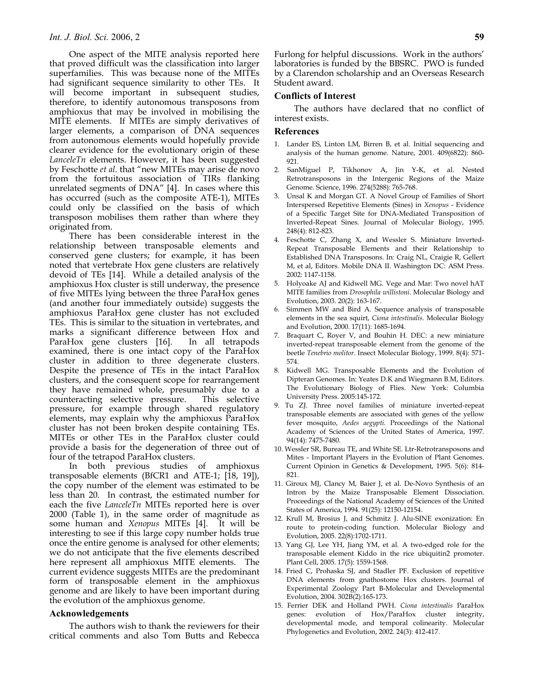One aspect of the MITE analysis reported here that proved difficult was the classification into larger superfamilies. This was because none of the MITEs had significant sequence similarity to other TEs. It will become important in subsequent studies, therefore, to identify autonomous transposons from amphioxus that may be involved in mobilising the MITE elements. If MITEs are simply derivatives of larger elements, a comparison of DNA sequences from autonomous elements would hopefully provide clearer evidence for the evolutionary origin of these *LanceleTn* elements. However, it has been suggested by Feschotte *et al*. that "new MITEs may arise de novo from the fortuitous association of TIRs flanking unrelated segments of DNA" [4]. In cases where this has occurred (such as the composite ATE-1), MITEs could only be classified on the basis of which transposon mobilises them rather than where they originated from.

There has been considerable interest in the relationship between transposable elements and conserved gene clusters; for example, it has been noted that vertebrate Hox gene clusters are relatively devoid of TEs [14]. While a detailed analysis of the amphioxus Hox cluster is still underway, the presence of five MITEs lying between the three ParaHox genes (and another four immediately outside) suggests the amphioxus ParaHox gene cluster has not excluded TEs. This is similar to the situation in vertebrates, and marks a significant difference between Hox and ParaHox gene clusters [16]. In all tetrapods examined, there is one intact copy of the ParaHox cluster in addition to three degenerate clusters. Despite the presence of TEs in the intact ParaHox clusters, and the consequent scope for rearrangement they have remained whole, presumably due to a counteracting selective pressure. This selective pressure, for example through shared regulatory elements, may explain why the amphioxus ParaHox cluster has not been broken despite containing TEs. MITEs or other TEs in the ParaHox cluster could provide a basis for the degeneration of three out of four of the tetrapod ParaHox clusters.

In both previous studies of amphioxus transposable elements (BfCR1 and ATE-1; [18, 19]), the copy number of the element was estimated to be less than 20. In contrast, the estimated number for each the five *LanceleTn* MITEs reported here is over 2000 (Table 1), in the same order of magnitude as some human and *Xenopus* MITEs [4]. It will be interesting to see if this large copy number holds true once the entire genome is analysed for other elements; we do not anticipate that the five elements described here represent all amphioxus MITE elements. The current evidence suggests MITEs are the predominant form of transposable element in the amphioxus genome and are likely to have been important during the evolution of the amphioxus genome.

## **Acknowledgements**

The authors wish to thank the reviewers for their critical comments and also Tom Butts and Rebecca

Furlong for helpful discussions. Work in the authors' laboratories is funded by the BBSRC. PWO is funded by a Clarendon scholarship and an Overseas Research Student award.

#### **Conflicts of Interest**

The authors have declared that no conflict of interest exists.

#### **References**

- 1. Lander ES, Linton LM, Birren B, et al. Initial sequencing and analysis of the human genome. Nature, 2001. 409(6822): 860- 921.
- 2. SanMiguel P, Tikhonov A, Jin Y-K, et al. Nested Retrotransposons in the Intergenic Regions of the Maize Genome. Science, 1996. 274(5288): 765-768.
- 3. Unsal K and Morgan GT. A Novel Group of Families of Short Interspersed Repetitive Elements (Sines) in *Xenopus* - Evidence of a Specific Target Site for DNA-Mediated Transposition of Inverted-Repeat Sines. Journal of Molecular Biology, 1995. 248(4): 812-823.
- 4. Feschotte C, Zhang X, and Wessler S. Miniature Inverted-Repeat Transposable Elements and their Relationship to Established DNA Transposons. In: Craig NL, Craigie R, Gellert M, et al, Editors. Mobile DNA II. Washington DC: ASM Press. 2002: 1147-1158.
- 5. Holyoake AJ and Kidwell MG. Vege and Mar: Two novel hAT MITE families from *Drosophila willistoni*. Molecular Biology and Evolution, 2003. 20(2): 163-167.
- 6. Simmen MW and Bird A. Sequence analysis of transposable elements in the sea squirt, *Ciona intestinalis*. Molecular Biology and Evolution, 2000. 17(11): 1685-1694.
- 7. Braquart C, Royer V, and Bouhin H. DEC: a new miniature inverted-repeat transposable element from the genome of the beetle *Tenebrio molitor*. Insect Molecular Biology, 1999. 8(4): 571- 574.
- 8. Kidwell MG. Transposable Elements and the Evolution of Dipteran Genomes. In: Yeates D.K and Wiegmann B.M, Editors. The Evolutionary Biology of Flies. New York: Columbia University Press. 2005:145-172.
- 9. Tu ZJ. Three novel families of miniature inverted-repeat transposable elements are associated with genes of the yellow fever mosquito, *Aedes aegypti*. Proceedings of the National Academy of Sciences of the United States of America, 1997. 94(14): 7475-7480.
- 10. Wessler SR, Bureau TE, and White SE. Ltr-Retrotransposons and Mites - Important Players in the Evolution of Plant Genomes. Current Opinion in Genetics & Development, 1995. 5(6): 814- 821.
- 11. Giroux MJ, Clancy M, Baier J, et al. De-Novo Synthesis of an Intron by the Maize Transposable Element Dissociation. Proceedings of the National Academy of Sciences of the United States of America, 1994. 91(25): 12150-12154.
- 12. Krull M, Brosius J, and Schmitz J. Alu-SINE exonization: En route to protein-coding function. Molecular Biology and Evolution, 2005. 22(8):1702-1711.
- 13. Yang GJ, Lee YH, Jiang YM, et al. A two-edged role for the transposable element Kiddo in the rice ubiquitin2 promoter. Plant Cell, 2005. 17(5): 1559-1568.
- 14. Fried C, Prohaska SJ, and Stadler PF. Exclusion of repetitive DNA elements from gnathostome Hox clusters. Journal of Experimental Zoology Part B-Molecular and Developmental Evolution, 2004. 302B(2):165-173.
- 15. Ferrier DEK and Holland PWH. *Ciona intestinalis* ParaHox genes: evolution of Hox/ParaHox cluster integrity, developmental mode, and temporal colinearity. Molecular Phylogenetics and Evolution, 2002. 24(3): 412-417.